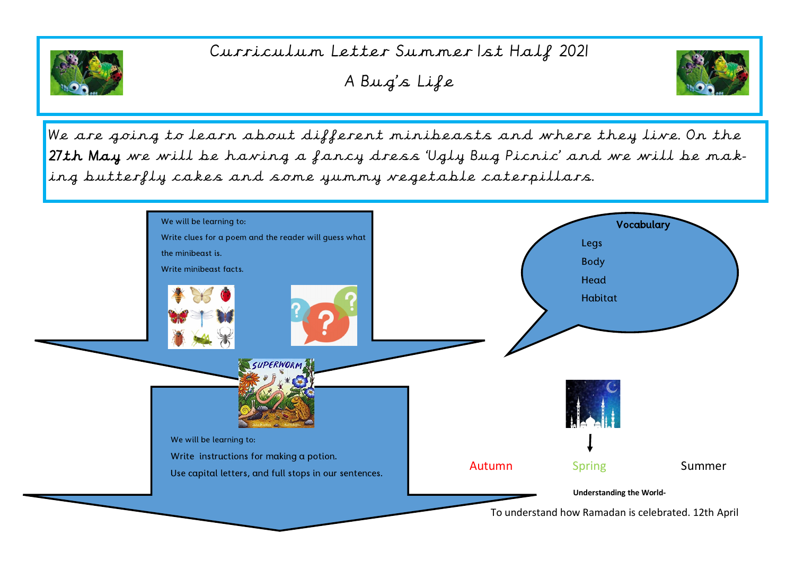

## Curriculum Letter Summer 1st Half 2021

A Bug's Life



We are going to learn about different minibeasts and where they live. On the 27th May we will be having a fancy dress 'Ugly Bug Picnic' and we will be making butterfly cakes and some yummy vegetable caterpillars.